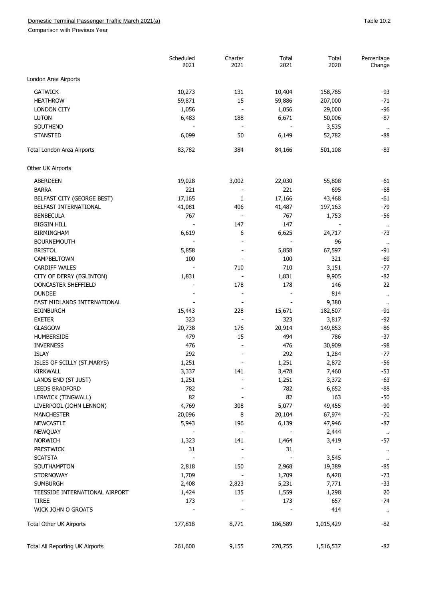Comparison with Previous Year

|                                 | Scheduled<br>2021 | Charter<br>2021          | Total<br>2021            | Total<br>2020 | Percentage<br>Change          |
|---------------------------------|-------------------|--------------------------|--------------------------|---------------|-------------------------------|
| London Area Airports            |                   |                          |                          |               |                               |
| <b>GATWICK</b>                  | 10,273            | 131                      | 10,404                   | 158,785       | $-93$                         |
| <b>HEATHROW</b>                 | 59,871            | 15                       | 59,886                   | 207,000       | $-71$                         |
| <b>LONDON CITY</b>              | 1,056             | $\overline{\phantom{a}}$ | 1,056                    | 29,000        | $-96$                         |
| <b>LUTON</b>                    | 6,483             | 188                      | 6,671                    | 50,006        | $-87$                         |
| SOUTHEND                        |                   | $\overline{\phantom{a}}$ |                          | 3,535         |                               |
| <b>STANSTED</b>                 | 6,099             | 50                       | 6,149                    | 52,782        | $\ddot{\phantom{1}}$<br>$-88$ |
|                                 |                   |                          |                          |               |                               |
| Total London Area Airports      | 83,782            | 384                      | 84,166                   | 501,108       | $-83$                         |
| Other UK Airports               |                   |                          |                          |               |                               |
| <b>ABERDEEN</b>                 | 19,028            | 3,002                    | 22,030                   | 55,808        | $-61$                         |
| <b>BARRA</b>                    | 221               |                          | 221                      | 695           | $-68$                         |
| BELFAST CITY (GEORGE BEST)      | 17,165            | 1                        | 17,166                   | 43,468        | $-61$                         |
| BELFAST INTERNATIONAL           | 41,081            | 406                      | 41,487                   | 197,163       | $-79$                         |
| <b>BENBECULA</b>                | 767               |                          | 767                      | 1,753         | $-56$                         |
| <b>BIGGIN HILL</b>              |                   | 147                      | 147                      |               |                               |
| <b>BIRMINGHAM</b>               | 6,619             | 6                        | 6,625                    | 24,717        | $\alpha$<br>$-73$             |
| <b>BOURNEMOUTH</b>              |                   |                          |                          | 96            |                               |
| <b>BRISTOL</b>                  | 5,858             |                          | 5,858                    | 67,597        | $\cdot$<br>$-91$              |
| CAMPBELTOWN                     | 100               |                          | 100                      | 321           | $-69$                         |
|                                 |                   | 710                      | 710                      |               | $-77$                         |
| <b>CARDIFF WALES</b>            |                   |                          |                          | 3,151         | $-82$                         |
| CITY OF DERRY (EGLINTON)        | 1,831             |                          | 1,831                    | 9,905         |                               |
| DONCASTER SHEFFIELD             |                   | 178                      | 178                      | 146           | 22                            |
| <b>DUNDEE</b>                   |                   |                          |                          | 814           | $\ddot{\phantom{1}}$          |
| EAST MIDLANDS INTERNATIONAL     |                   |                          |                          | 9,380         | $\ddot{\phantom{1}}$          |
| <b>EDINBURGH</b>                | 15,443            | 228                      | 15,671                   | 182,507       | $-91$                         |
| <b>EXETER</b>                   | 323               |                          | 323                      | 3,817         | $-92$                         |
| <b>GLASGOW</b>                  | 20,738            | 176                      | 20,914                   | 149,853       | $-86$                         |
| <b>HUMBERSIDE</b>               | 479               | 15                       | 494                      | 786           | $-37$                         |
| <b>INVERNESS</b>                | 476               |                          | 476                      | 30,909        | $-98$                         |
| <b>ISLAY</b>                    | 292               |                          | 292                      | 1,284         | $-77$                         |
| ISLES OF SCILLY (ST.MARYS)      | 1,251             |                          | 1,251                    | 2,872         | $-56$                         |
| <b>KIRKWALL</b>                 | 3,337             | 141                      | 3,478                    | 7,460         | $-53$                         |
| LANDS END (ST JUST)             | 1,251             |                          | 1,251                    | 3,372         | $-63$                         |
| <b>LEEDS BRADFORD</b>           | 782               |                          | 782                      | 6,652         | $-88$                         |
| LERWICK (TINGWALL)              | 82                |                          | 82                       | 163           | $-50$                         |
| LIVERPOOL (JOHN LENNON)         | 4,769             | 308                      | 5,077                    | 49,455        | $-90$                         |
| <b>MANCHESTER</b>               | 20,096            | 8                        | 20,104                   | 67,974        | $-70$                         |
| <b>NEWCASTLE</b>                | 5,943             | 196                      | 6,139                    | 47,946        | $-87$                         |
| <b>NEWQUAY</b>                  |                   | $\overline{\phantom{a}}$ | $\overline{\phantom{a}}$ | 2,444         | $\ddot{\phantom{1}}$          |
| <b>NORWICH</b>                  | 1,323             | 141                      | 1,464                    | 3,419         | $-57$                         |
| <b>PRESTWICK</b>                | 31                |                          | 31                       |               | $\ddot{\phantom{1}}$          |
| <b>SCATSTA</b>                  |                   |                          |                          | 3,545         | $\ddot{\phantom{1}}$          |
| SOUTHAMPTON                     | 2,818             | 150                      | 2,968                    | 19,389        | $-85$                         |
| <b>STORNOWAY</b>                | 1,709             |                          | 1,709                    | 6,428         | $-73$                         |
| <b>SUMBURGH</b>                 | 2,408             | 2,823                    | 5,231                    | 7,771         | $-33$                         |
| TEESSIDE INTERNATIONAL AIRPORT  | 1,424             | 135                      | 1,559                    | 1,298         | 20                            |
| <b>TIREE</b>                    | 173               |                          | 173                      | 657           | $-74$                         |
| WICK JOHN O GROATS              |                   |                          |                          | 414           | $\cdot$                       |
| Total Other UK Airports         | 177,818           | 8,771                    | 186,589                  | 1,015,429     | $-82$                         |
| Total All Reporting UK Airports | 261,600           | 9,155                    | 270,755                  | 1,516,537     | $-82$                         |